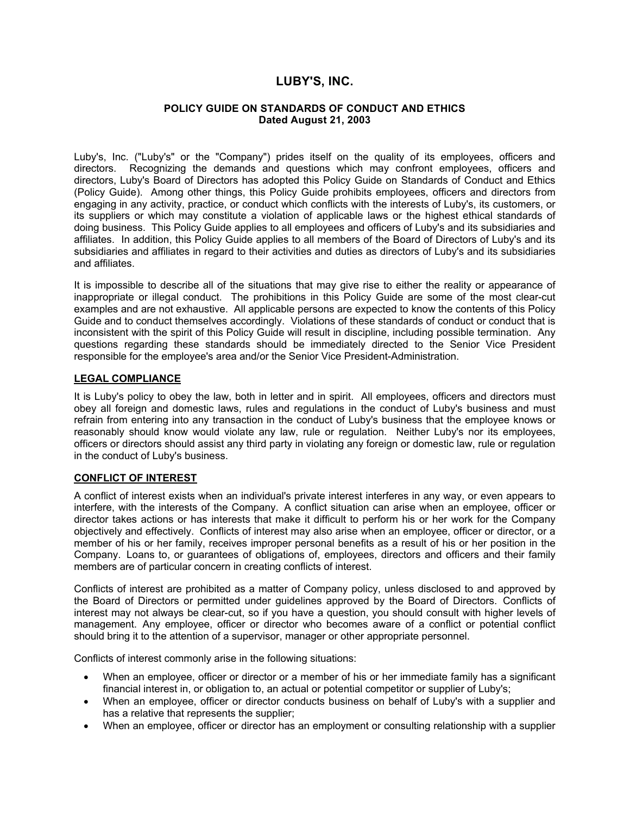# **LUBY'S, INC.**

#### **POLICY GUIDE ON STANDARDS OF CONDUCT AND ETHICS Dated August 21, 2003**

Luby's, Inc. ("Luby's" or the "Company") prides itself on the quality of its employees, officers and directors. Recognizing the demands and questions which may confront employees, officers and directors, Luby's Board of Directors has adopted this Policy Guide on Standards of Conduct and Ethics (Policy Guide). Among other things, this Policy Guide prohibits employees, officers and directors from engaging in any activity, practice, or conduct which conflicts with the interests of Luby's, its customers, or its suppliers or which may constitute a violation of applicable laws or the highest ethical standards of doing business. This Policy Guide applies to all employees and officers of Luby's and its subsidiaries and affiliates. In addition, this Policy Guide applies to all members of the Board of Directors of Luby's and its subsidiaries and affiliates in regard to their activities and duties as directors of Luby's and its subsidiaries and affiliates.

It is impossible to describe all of the situations that may give rise to either the reality or appearance of inappropriate or illegal conduct. The prohibitions in this Policy Guide are some of the most clear-cut examples and are not exhaustive. All applicable persons are expected to know the contents of this Policy Guide and to conduct themselves accordingly. Violations of these standards of conduct or conduct that is inconsistent with the spirit of this Policy Guide will result in discipline, including possible termination. Any questions regarding these standards should be immediately directed to the Senior Vice President responsible for the employee's area and/or the Senior Vice President-Administration.

## **LEGAL COMPLIANCE**

It is Luby's policy to obey the law, both in letter and in spirit. All employees, officers and directors must obey all foreign and domestic laws, rules and regulations in the conduct of Luby's business and must refrain from entering into any transaction in the conduct of Luby's business that the employee knows or reasonably should know would violate any law, rule or regulation. Neither Luby's nor its employees, officers or directors should assist any third party in violating any foreign or domestic law, rule or regulation in the conduct of Luby's business.

### **CONFLICT OF INTEREST**

A conflict of interest exists when an individual's private interest interferes in any way, or even appears to interfere, with the interests of the Company. A conflict situation can arise when an employee, officer or director takes actions or has interests that make it difficult to perform his or her work for the Company objectively and effectively. Conflicts of interest may also arise when an employee, officer or director, or a member of his or her family, receives improper personal benefits as a result of his or her position in the Company. Loans to, or guarantees of obligations of, employees, directors and officers and their family members are of particular concern in creating conflicts of interest.

Conflicts of interest are prohibited as a matter of Company policy, unless disclosed to and approved by the Board of Directors or permitted under guidelines approved by the Board of Directors. Conflicts of interest may not always be clear-cut, so if you have a question, you should consult with higher levels of management. Any employee, officer or director who becomes aware of a conflict or potential conflict should bring it to the attention of a supervisor, manager or other appropriate personnel.

Conflicts of interest commonly arise in the following situations:

- When an employee, officer or director or a member of his or her immediate family has a significant financial interest in, or obligation to, an actual or potential competitor or supplier of Luby's;
- When an employee, officer or director conducts business on behalf of Luby's with a supplier and has a relative that represents the supplier;
- When an employee, officer or director has an employment or consulting relationship with a supplier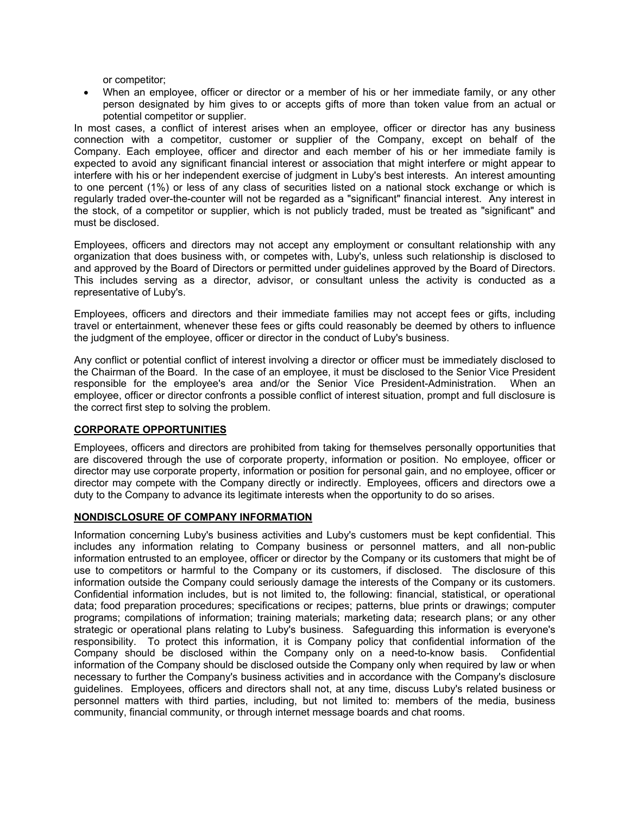or competitor;

• When an employee, officer or director or a member of his or her immediate family, or any other person designated by him gives to or accepts gifts of more than token value from an actual or potential competitor or supplier.

In most cases, a conflict of interest arises when an employee, officer or director has any business connection with a competitor, customer or supplier of the Company, except on behalf of the Company. Each employee, officer and director and each member of his or her immediate family is expected to avoid any significant financial interest or association that might interfere or might appear to interfere with his or her independent exercise of judgment in Luby's best interests. An interest amounting to one percent (1%) or less of any class of securities listed on a national stock exchange or which is regularly traded over-the-counter will not be regarded as a "significant" financial interest. Any interest in the stock, of a competitor or supplier, which is not publicly traded, must be treated as "significant" and must be disclosed.

Employees, officers and directors may not accept any employment or consultant relationship with any organization that does business with, or competes with, Luby's, unless such relationship is disclosed to and approved by the Board of Directors or permitted under guidelines approved by the Board of Directors. This includes serving as a director, advisor, or consultant unless the activity is conducted as a representative of Luby's.

Employees, officers and directors and their immediate families may not accept fees or gifts, including travel or entertainment, whenever these fees or gifts could reasonably be deemed by others to influence the judgment of the employee, officer or director in the conduct of Luby's business.

Any conflict or potential conflict of interest involving a director or officer must be immediately disclosed to the Chairman of the Board. In the case of an employee, it must be disclosed to the Senior Vice President responsible for the employee's area and/or the Senior Vice President-Administration. When an employee, officer or director confronts a possible conflict of interest situation, prompt and full disclosure is the correct first step to solving the problem.

# **CORPORATE OPPORTUNITIES**

Employees, officers and directors are prohibited from taking for themselves personally opportunities that are discovered through the use of corporate property, information or position. No employee, officer or director may use corporate property, information or position for personal gain, and no employee, officer or director may compete with the Company directly or indirectly. Employees, officers and directors owe a duty to the Company to advance its legitimate interests when the opportunity to do so arises.

# **NONDISCLOSURE OF COMPANY INFORMATION**

Information concerning Luby's business activities and Luby's customers must be kept confidential. This includes any information relating to Company business or personnel matters, and all non-public information entrusted to an employee, officer or director by the Company or its customers that might be of use to competitors or harmful to the Company or its customers, if disclosed. The disclosure of this information outside the Company could seriously damage the interests of the Company or its customers. Confidential information includes, but is not limited to, the following: financial, statistical, or operational data; food preparation procedures; specifications or recipes; patterns, blue prints or drawings; computer programs; compilations of information; training materials; marketing data; research plans; or any other strategic or operational plans relating to Luby's business. Safeguarding this information is everyone's responsibility. To protect this information, it is Company policy that confidential information of the Company should be disclosed within the Company only on a need-to-know basis. Confidential information of the Company should be disclosed outside the Company only when required by law or when necessary to further the Company's business activities and in accordance with the Company's disclosure guidelines. Employees, officers and directors shall not, at any time, discuss Luby's related business or personnel matters with third parties, including, but not limited to: members of the media, business community, financial community, or through internet message boards and chat rooms.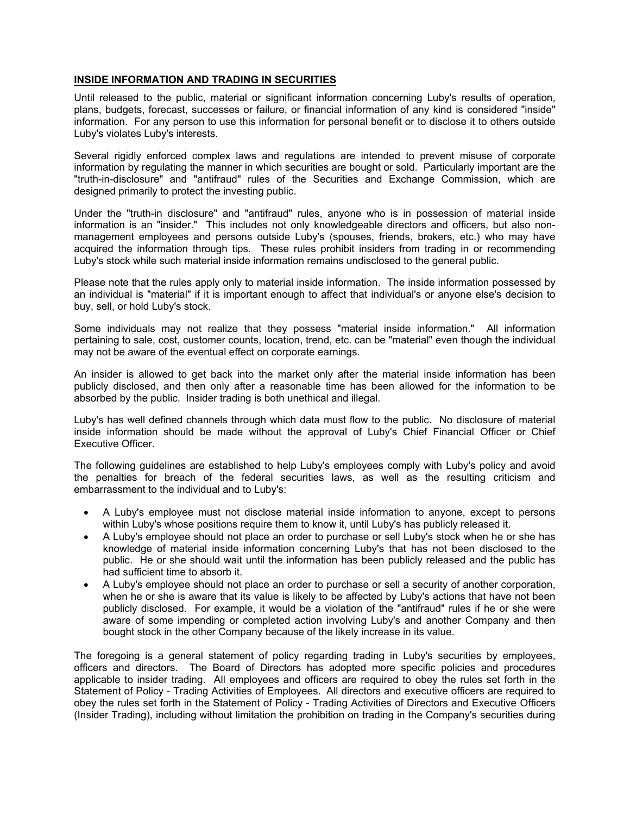# **INSIDE INFORMATION AND TRADING IN SECURITIES**

Until released to the public, material or significant information concerning Luby's results of operation, plans, budgets, forecast, successes or failure, or financial information of any kind is considered "inside" information. For any person to use this information for personal benefit or to disclose it to others outside Luby's violates Luby's interests.

Several rigidly enforced complex laws and regulations are intended to prevent misuse of corporate information by regulating the manner in which securities are bought or sold. Particularly important are the "truth-in-disclosure" and "antifraud" rules of the Securities and Exchange Commission, which are designed primarily to protect the investing public.

Under the "truth-in disclosure" and "antifraud" rules, anyone who is in possession of material inside information is an "insider." This includes not only knowledgeable directors and officers, but also nonmanagement employees and persons outside Luby's (spouses, friends, brokers, etc.) who may have acquired the information through tips. These rules prohibit insiders from trading in or recommending Luby's stock while such material inside information remains undisclosed to the general public.

Please note that the rules apply only to material inside information. The inside information possessed by an individual is "material" if it is important enough to affect that individual's or anyone else's decision to buy, sell, or hold Luby's stock.

Some individuals may not realize that they possess "material inside information." All information pertaining to sale, cost, customer counts, location, trend, etc. can be "material" even though the individual may not be aware of the eventual effect on corporate earnings.

An insider is allowed to get back into the market only after the material inside information has been publicly disclosed, and then only after a reasonable time has been allowed for the information to be absorbed by the public. Insider trading is both unethical and illegal.

Luby's has well defined channels through which data must flow to the public. No disclosure of material inside information should be made without the approval of Luby's Chief Financial Officer or Chief Executive Officer.

The following guidelines are established to help Luby's employees comply with Luby's policy and avoid the penalties for breach of the federal securities laws, as well as the resulting criticism and embarrassment to the individual and to Luby's:

- A Luby's employee must not disclose material inside information to anyone, except to persons within Luby's whose positions require them to know it, until Luby's has publicly released it.
- A Luby's employee should not place an order to purchase or sell Luby's stock when he or she has knowledge of material inside information concerning Luby's that has not been disclosed to the public. He or she should wait until the information has been publicly released and the public has had sufficient time to absorb it.
- A Luby's employee should not place an order to purchase or sell a security of another corporation, when he or she is aware that its value is likely to be affected by Luby's actions that have not been publicly disclosed. For example, it would be a violation of the "antifraud" rules if he or she were aware of some impending or completed action involving Luby's and another Company and then bought stock in the other Company because of the likely increase in its value.

The foregoing is a general statement of policy regarding trading in Luby's securities by employees, officers and directors. The Board of Directors has adopted more specific policies and procedures applicable to insider trading. All employees and officers are required to obey the rules set forth in the Statement of Policy - Trading Activities of Employees. All directors and executive officers are required to obey the rules set forth in the Statement of Policy - Trading Activities of Directors and Executive Officers (Insider Trading), including without limitation the prohibition on trading in the Company's securities during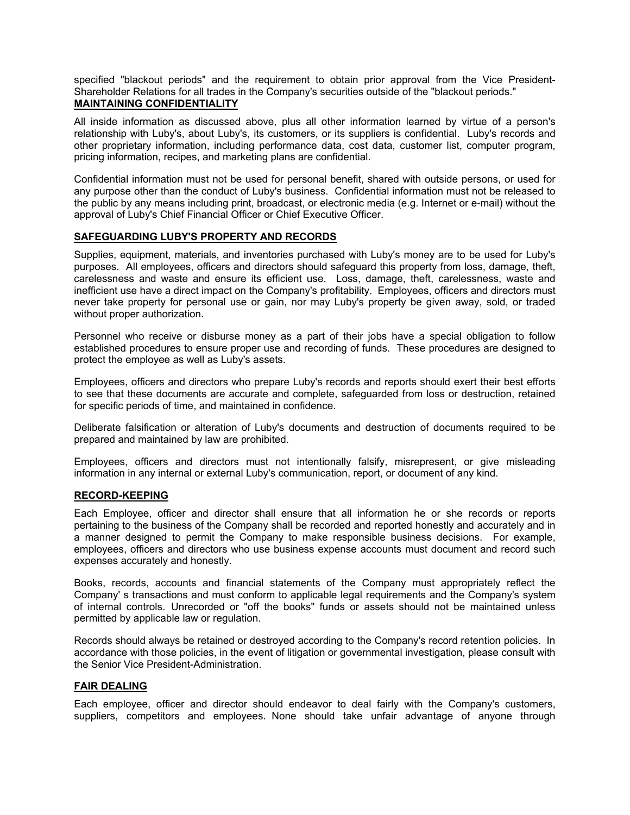specified "blackout periods" and the requirement to obtain prior approval from the Vice President-Shareholder Relations for all trades in the Company's securities outside of the "blackout periods." **MAINTAINING CONFIDENTIALITY**

All inside information as discussed above, plus all other information learned by virtue of a person's relationship with Luby's, about Luby's, its customers, or its suppliers is confidential. Luby's records and other proprietary information, including performance data, cost data, customer list, computer program, pricing information, recipes, and marketing plans are confidential.

Confidential information must not be used for personal benefit, shared with outside persons, or used for any purpose other than the conduct of Luby's business. Confidential information must not be released to the public by any means including print, broadcast, or electronic media (e.g. Internet or e-mail) without the approval of Luby's Chief Financial Officer or Chief Executive Officer.

## **SAFEGUARDING LUBY'S PROPERTY AND RECORDS**

Supplies, equipment, materials, and inventories purchased with Luby's money are to be used for Luby's purposes. All employees, officers and directors should safeguard this property from loss, damage, theft, carelessness and waste and ensure its efficient use. Loss, damage, theft, carelessness, waste and inefficient use have a direct impact on the Company's profitability. Employees, officers and directors must never take property for personal use or gain, nor may Luby's property be given away, sold, or traded without proper authorization.

Personnel who receive or disburse money as a part of their jobs have a special obligation to follow established procedures to ensure proper use and recording of funds. These procedures are designed to protect the employee as well as Luby's assets.

Employees, officers and directors who prepare Luby's records and reports should exert their best efforts to see that these documents are accurate and complete, safeguarded from loss or destruction, retained for specific periods of time, and maintained in confidence.

Deliberate falsification or alteration of Luby's documents and destruction of documents required to be prepared and maintained by law are prohibited.

Employees, officers and directors must not intentionally falsify, misrepresent, or give misleading information in any internal or external Luby's communication, report, or document of any kind.

### **RECORD-KEEPING**

Each Employee, officer and director shall ensure that all information he or she records or reports pertaining to the business of the Company shall be recorded and reported honestly and accurately and in a manner designed to permit the Company to make responsible business decisions. For example, employees, officers and directors who use business expense accounts must document and record such expenses accurately and honestly.

Books, records, accounts and financial statements of the Company must appropriately reflect the Company' s transactions and must conform to applicable legal requirements and the Company's system of internal controls. Unrecorded or "off the books" funds or assets should not be maintained unless permitted by applicable law or regulation.

Records should always be retained or destroyed according to the Company's record retention policies. In accordance with those policies, in the event of litigation or governmental investigation, please consult with the Senior Vice President-Administration.

### **FAIR DEALING**

Each employee, officer and director should endeavor to deal fairly with the Company's customers, suppliers, competitors and employees. None should take unfair advantage of anyone through